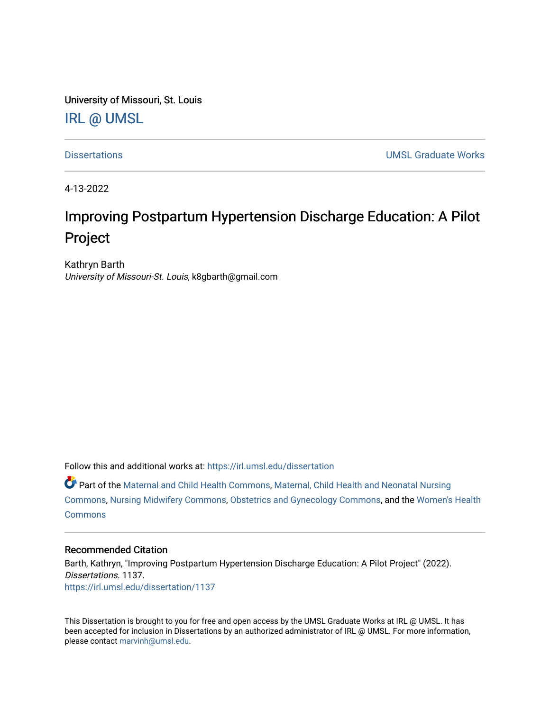University of Missouri, St. Louis

## [IRL @ UMSL](https://irl.umsl.edu/)

[Dissertations](https://irl.umsl.edu/dissertation) [UMSL Graduate Works](https://irl.umsl.edu/grad) 

4-13-2022

# Improving Postpartum Hypertension Discharge Education: A Pilot Project

Kathryn Barth University of Missouri-St. Louis, k8gbarth@gmail.com

Follow this and additional works at: [https://irl.umsl.edu/dissertation](https://irl.umsl.edu/dissertation?utm_source=irl.umsl.edu%2Fdissertation%2F1137&utm_medium=PDF&utm_campaign=PDFCoverPages)

Part of the [Maternal and Child Health Commons,](https://network.bepress.com/hgg/discipline/745?utm_source=irl.umsl.edu%2Fdissertation%2F1137&utm_medium=PDF&utm_campaign=PDFCoverPages) [Maternal, Child Health and Neonatal Nursing](https://network.bepress.com/hgg/discipline/721?utm_source=irl.umsl.edu%2Fdissertation%2F1137&utm_medium=PDF&utm_campaign=PDFCoverPages) [Commons](https://network.bepress.com/hgg/discipline/721?utm_source=irl.umsl.edu%2Fdissertation%2F1137&utm_medium=PDF&utm_campaign=PDFCoverPages), [Nursing Midwifery Commons,](https://network.bepress.com/hgg/discipline/722?utm_source=irl.umsl.edu%2Fdissertation%2F1137&utm_medium=PDF&utm_campaign=PDFCoverPages) [Obstetrics and Gynecology Commons,](https://network.bepress.com/hgg/discipline/693?utm_source=irl.umsl.edu%2Fdissertation%2F1137&utm_medium=PDF&utm_campaign=PDFCoverPages) and the [Women's Health](https://network.bepress.com/hgg/discipline/1241?utm_source=irl.umsl.edu%2Fdissertation%2F1137&utm_medium=PDF&utm_campaign=PDFCoverPages)  **[Commons](https://network.bepress.com/hgg/discipline/1241?utm_source=irl.umsl.edu%2Fdissertation%2F1137&utm_medium=PDF&utm_campaign=PDFCoverPages)** 

#### Recommended Citation

Barth, Kathryn, "Improving Postpartum Hypertension Discharge Education: A Pilot Project" (2022). Dissertations. 1137. [https://irl.umsl.edu/dissertation/1137](https://irl.umsl.edu/dissertation/1137?utm_source=irl.umsl.edu%2Fdissertation%2F1137&utm_medium=PDF&utm_campaign=PDFCoverPages) 

This Dissertation is brought to you for free and open access by the UMSL Graduate Works at IRL @ UMSL. It has been accepted for inclusion in Dissertations by an authorized administrator of IRL @ UMSL. For more information, please contact [marvinh@umsl.edu](mailto:marvinh@umsl.edu).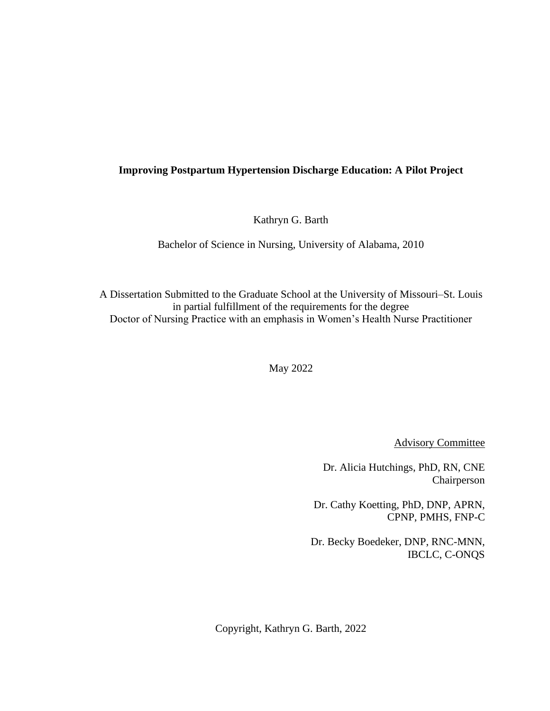### **Improving Postpartum Hypertension Discharge Education: A Pilot Project**

Kathryn G. Barth

Bachelor of Science in Nursing, University of Alabama, 2010

A Dissertation Submitted to the Graduate School at the University of Missouri–St. Louis in partial fulfillment of the requirements for the degree Doctor of Nursing Practice with an emphasis in Women's Health Nurse Practitioner

May 2022

Advisory Committee

Dr. Alicia Hutchings, PhD, RN, CNE Chairperson

Dr. Cathy Koetting, PhD, DNP, APRN, CPNP, PMHS, FNP-C

Dr. Becky Boedeker, DNP, RNC-MNN, IBCLC, C-ONQS

Copyright, Kathryn G. Barth, 2022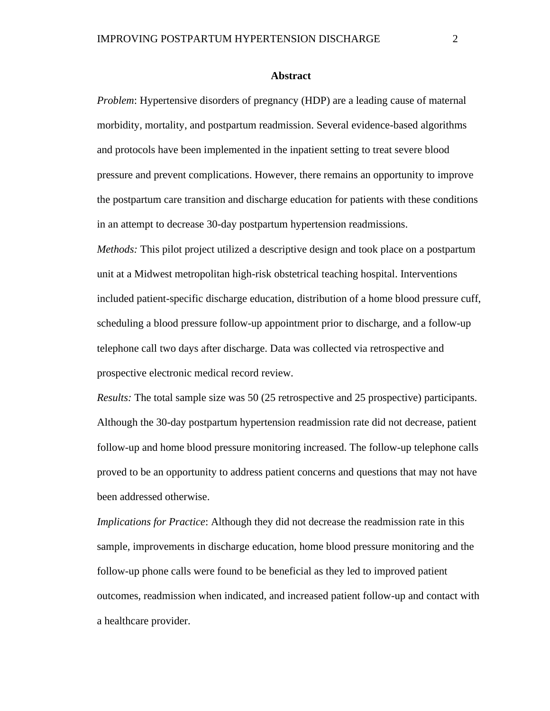#### **Abstract**

*Problem*: Hypertensive disorders of pregnancy (HDP) are a leading cause of maternal morbidity, mortality, and postpartum readmission. Several evidence-based algorithms and protocols have been implemented in the inpatient setting to treat severe blood pressure and prevent complications. However, there remains an opportunity to improve the postpartum care transition and discharge education for patients with these conditions in an attempt to decrease 30-day postpartum hypertension readmissions.

*Methods:* This pilot project utilized a descriptive design and took place on a postpartum unit at a Midwest metropolitan high-risk obstetrical teaching hospital. Interventions included patient-specific discharge education, distribution of a home blood pressure cuff, scheduling a blood pressure follow-up appointment prior to discharge, and a follow-up telephone call two days after discharge. Data was collected via retrospective and prospective electronic medical record review.

*Results:* The total sample size was 50 (25 retrospective and 25 prospective) participants. Although the 30-day postpartum hypertension readmission rate did not decrease, patient follow-up and home blood pressure monitoring increased. The follow-up telephone calls proved to be an opportunity to address patient concerns and questions that may not have been addressed otherwise.

*Implications for Practice*: Although they did not decrease the readmission rate in this sample, improvements in discharge education, home blood pressure monitoring and the follow-up phone calls were found to be beneficial as they led to improved patient outcomes, readmission when indicated, and increased patient follow-up and contact with a healthcare provider.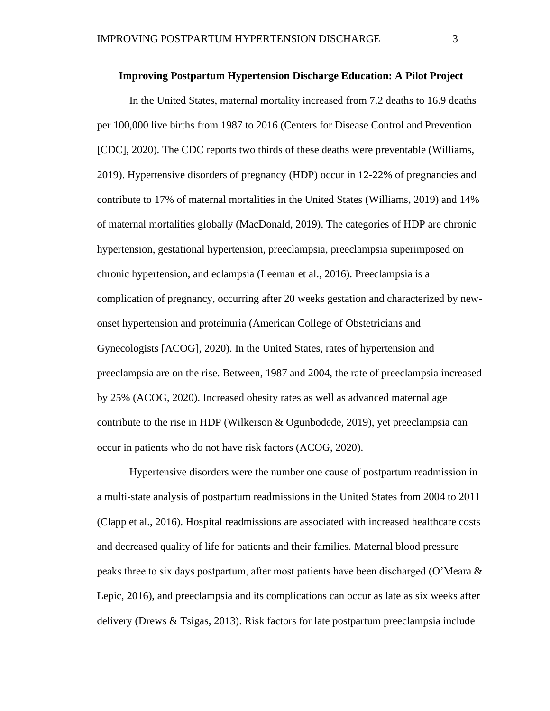#### **Improving Postpartum Hypertension Discharge Education: A Pilot Project**

In the United States, maternal mortality increased from 7.2 deaths to 16.9 deaths per 100,000 live births from 1987 to 2016 (Centers for Disease Control and Prevention [CDC], 2020). The CDC reports two thirds of these deaths were preventable (Williams, 2019). Hypertensive disorders of pregnancy (HDP) occur in 12-22% of pregnancies and contribute to 17% of maternal mortalities in the United States (Williams, 2019) and 14% of maternal mortalities globally (MacDonald, 2019). The categories of HDP are chronic hypertension, gestational hypertension, preeclampsia, preeclampsia superimposed on chronic hypertension, and eclampsia (Leeman et al., 2016). Preeclampsia is a complication of pregnancy, occurring after 20 weeks gestation and characterized by newonset hypertension and proteinuria (American College of Obstetricians and Gynecologists [ACOG], 2020). In the United States, rates of hypertension and preeclampsia are on the rise. Between, 1987 and 2004, the rate of preeclampsia increased by 25% (ACOG, 2020). Increased obesity rates as well as advanced maternal age contribute to the rise in HDP (Wilkerson & Ogunbodede, 2019), yet preeclampsia can occur in patients who do not have risk factors (ACOG, 2020).

Hypertensive disorders were the number one cause of postpartum readmission in a multi-state analysis of postpartum readmissions in the United States from 2004 to 2011 (Clapp et al., 2016). Hospital readmissions are associated with increased healthcare costs and decreased quality of life for patients and their families. Maternal blood pressure peaks three to six days postpartum, after most patients have been discharged (O'Meara & Lepic, 2016), and preeclampsia and its complications can occur as late as six weeks after delivery (Drews & Tsigas, 2013). Risk factors for late postpartum preeclampsia include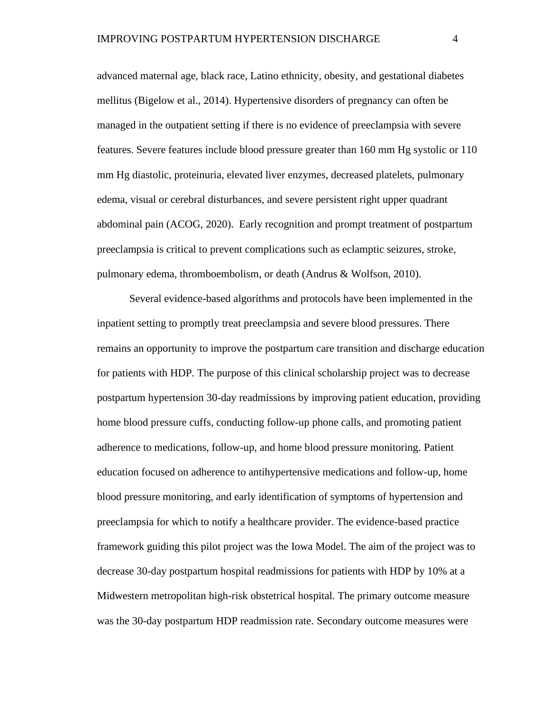advanced maternal age, black race, Latino ethnicity, obesity, and gestational diabetes mellitus (Bigelow et al., 2014). Hypertensive disorders of pregnancy can often be managed in the outpatient setting if there is no evidence of preeclampsia with severe features. Severe features include blood pressure greater than 160 mm Hg systolic or 110 mm Hg diastolic, proteinuria, elevated liver enzymes, decreased platelets, pulmonary edema, visual or cerebral disturbances, and severe persistent right upper quadrant abdominal pain (ACOG, 2020). Early recognition and prompt treatment of postpartum preeclampsia is critical to prevent complications such as eclamptic seizures, stroke, pulmonary edema, thromboembolism, or death (Andrus & Wolfson, 2010).

Several evidence-based algorithms and protocols have been implemented in the inpatient setting to promptly treat preeclampsia and severe blood pressures. There remains an opportunity to improve the postpartum care transition and discharge education for patients with HDP. The purpose of this clinical scholarship project was to decrease postpartum hypertension 30-day readmissions by improving patient education, providing home blood pressure cuffs, conducting follow-up phone calls, and promoting patient adherence to medications, follow-up, and home blood pressure monitoring. Patient education focused on adherence to antihypertensive medications and follow-up, home blood pressure monitoring, and early identification of symptoms of hypertension and preeclampsia for which to notify a healthcare provider. The evidence-based practice framework guiding this pilot project was the Iowa Model. The aim of the project was to decrease 30-day postpartum hospital readmissions for patients with HDP by 10% at a Midwestern metropolitan high-risk obstetrical hospital. The primary outcome measure was the 30-day postpartum HDP readmission rate. Secondary outcome measures were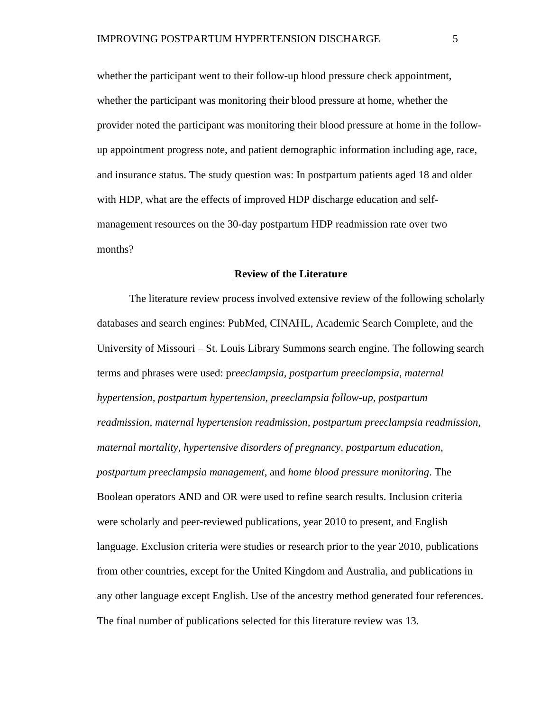whether the participant went to their follow-up blood pressure check appointment, whether the participant was monitoring their blood pressure at home, whether the provider noted the participant was monitoring their blood pressure at home in the followup appointment progress note, and patient demographic information including age, race, and insurance status. The study question was: In postpartum patients aged 18 and older with HDP, what are the effects of improved HDP discharge education and selfmanagement resources on the 30-day postpartum HDP readmission rate over two months?

#### **Review of the Literature**

The literature review process involved extensive review of the following scholarly databases and search engines: PubMed, CINAHL, Academic Search Complete, and the University of Missouri – St. Louis Library Summons search engine. The following search terms and phrases were used: p*reeclampsia, postpartum preeclampsia, maternal hypertension, postpartum hypertension, preeclampsia follow-up, postpartum readmission, maternal hypertension readmission, postpartum preeclampsia readmission, maternal mortality, hypertensive disorders of pregnancy, postpartum education, postpartum preeclampsia management*, and *home blood pressure monitoring*. The Boolean operators AND and OR were used to refine search results. Inclusion criteria were scholarly and peer-reviewed publications, year 2010 to present, and English language. Exclusion criteria were studies or research prior to the year 2010, publications from other countries, except for the United Kingdom and Australia, and publications in any other language except English. Use of the ancestry method generated four references. The final number of publications selected for this literature review was 13.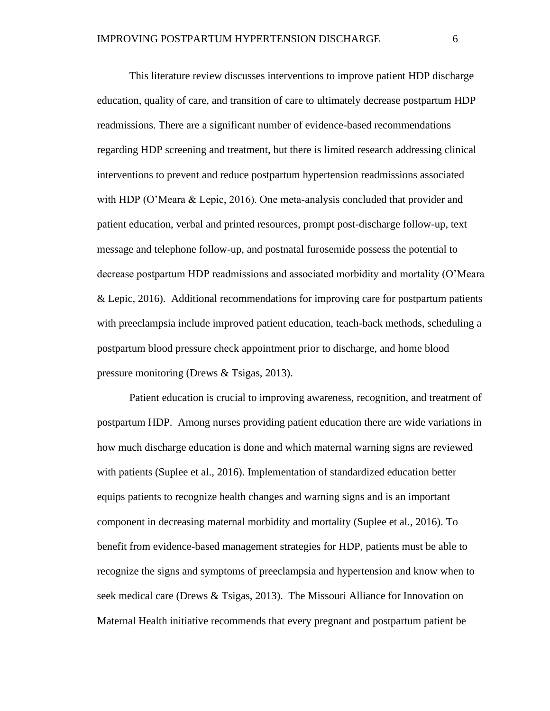This literature review discusses interventions to improve patient HDP discharge education, quality of care, and transition of care to ultimately decrease postpartum HDP readmissions. There are a significant number of evidence-based recommendations regarding HDP screening and treatment, but there is limited research addressing clinical interventions to prevent and reduce postpartum hypertension readmissions associated with HDP (O'Meara & Lepic, 2016). One meta-analysis concluded that provider and patient education, verbal and printed resources, prompt post-discharge follow-up, text message and telephone follow-up, and postnatal furosemide possess the potential to decrease postpartum HDP readmissions and associated morbidity and mortality (O'Meara & Lepic, 2016). Additional recommendations for improving care for postpartum patients with preeclampsia include improved patient education, teach-back methods, scheduling a postpartum blood pressure check appointment prior to discharge, and home blood pressure monitoring (Drews & Tsigas, 2013).

Patient education is crucial to improving awareness, recognition, and treatment of postpartum HDP. Among nurses providing patient education there are wide variations in how much discharge education is done and which maternal warning signs are reviewed with patients (Suplee et al., 2016). Implementation of standardized education better equips patients to recognize health changes and warning signs and is an important component in decreasing maternal morbidity and mortality (Suplee et al., 2016). To benefit from evidence-based management strategies for HDP, patients must be able to recognize the signs and symptoms of preeclampsia and hypertension and know when to seek medical care (Drews & Tsigas, 2013). The Missouri Alliance for Innovation on Maternal Health initiative recommends that every pregnant and postpartum patient be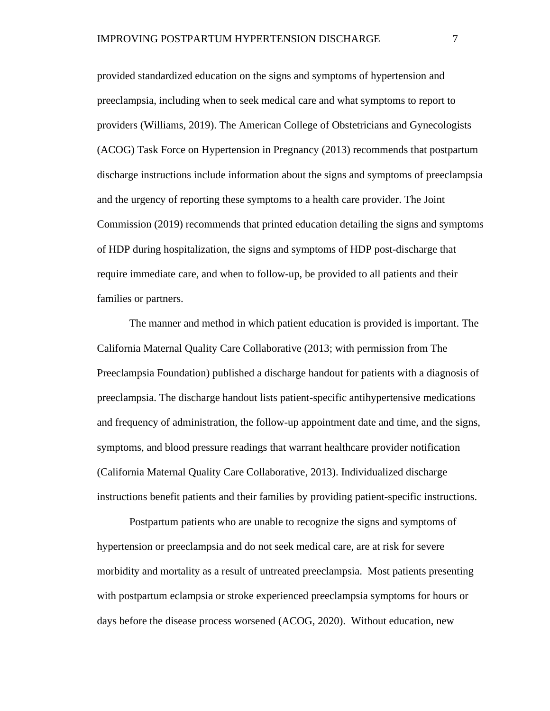provided standardized education on the signs and symptoms of hypertension and preeclampsia, including when to seek medical care and what symptoms to report to providers (Williams, 2019). The American College of Obstetricians and Gynecologists (ACOG) Task Force on Hypertension in Pregnancy (2013) recommends that postpartum discharge instructions include information about the signs and symptoms of preeclampsia and the urgency of reporting these symptoms to a health care provider. The Joint Commission (2019) recommends that printed education detailing the signs and symptoms of HDP during hospitalization, the signs and symptoms of HDP post-discharge that require immediate care, and when to follow-up, be provided to all patients and their families or partners.

The manner and method in which patient education is provided is important. The California Maternal Quality Care Collaborative (2013; with permission from The Preeclampsia Foundation) published a discharge handout for patients with a diagnosis of preeclampsia. The discharge handout lists patient-specific antihypertensive medications and frequency of administration, the follow-up appointment date and time, and the signs, symptoms, and blood pressure readings that warrant healthcare provider notification (California Maternal Quality Care Collaborative, 2013). Individualized discharge instructions benefit patients and their families by providing patient-specific instructions.

Postpartum patients who are unable to recognize the signs and symptoms of hypertension or preeclampsia and do not seek medical care, are at risk for severe morbidity and mortality as a result of untreated preeclampsia. Most patients presenting with postpartum eclampsia or stroke experienced preeclampsia symptoms for hours or days before the disease process worsened (ACOG, 2020). Without education, new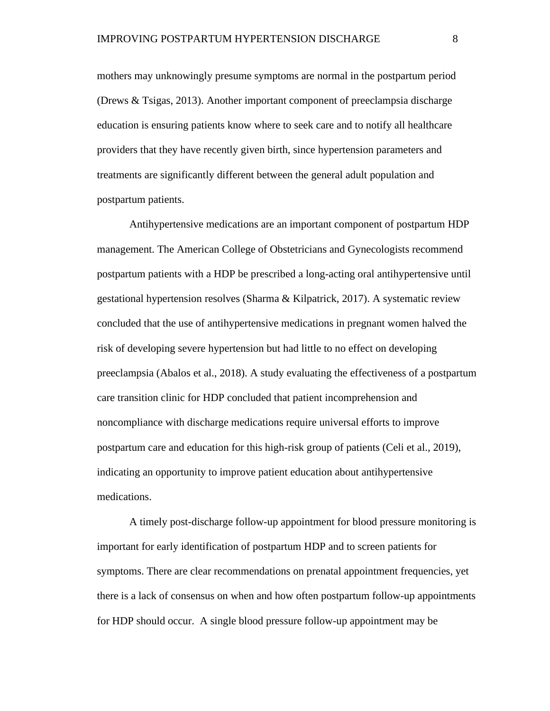mothers may unknowingly presume symptoms are normal in the postpartum period (Drews & Tsigas, 2013). Another important component of preeclampsia discharge education is ensuring patients know where to seek care and to notify all healthcare providers that they have recently given birth, since hypertension parameters and treatments are significantly different between the general adult population and postpartum patients.

Antihypertensive medications are an important component of postpartum HDP management. The American College of Obstetricians and Gynecologists recommend postpartum patients with a HDP be prescribed a long-acting oral antihypertensive until gestational hypertension resolves (Sharma & Kilpatrick, 2017). A systematic review concluded that the use of antihypertensive medications in pregnant women halved the risk of developing severe hypertension but had little to no effect on developing preeclampsia (Abalos et al., 2018). A study evaluating the effectiveness of a postpartum care transition clinic for HDP concluded that patient incomprehension and noncompliance with discharge medications require universal efforts to improve postpartum care and education for this high-risk group of patients (Celi et al., 2019), indicating an opportunity to improve patient education about antihypertensive medications.

A timely post-discharge follow-up appointment for blood pressure monitoring is important for early identification of postpartum HDP and to screen patients for symptoms. There are clear recommendations on prenatal appointment frequencies, yet there is a lack of consensus on when and how often postpartum follow-up appointments for HDP should occur. A single blood pressure follow-up appointment may be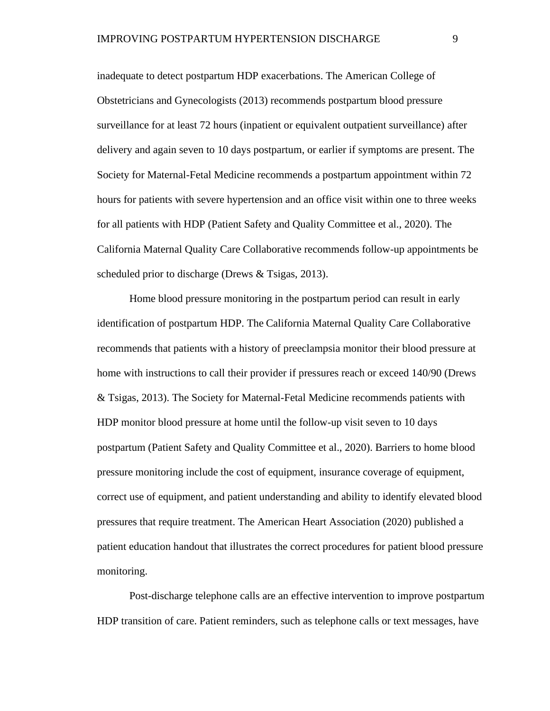inadequate to detect postpartum HDP exacerbations. The American College of Obstetricians and Gynecologists (2013) recommends postpartum blood pressure surveillance for at least 72 hours (inpatient or equivalent outpatient surveillance) after delivery and again seven to 10 days postpartum, or earlier if symptoms are present. The Society for Maternal-Fetal Medicine recommends a postpartum appointment within 72 hours for patients with severe hypertension and an office visit within one to three weeks for all patients with HDP (Patient Safety and Quality Committee et al., 2020). The California Maternal Quality Care Collaborative recommends follow-up appointments be scheduled prior to discharge (Drews & Tsigas, 2013).

Home blood pressure monitoring in the postpartum period can result in early identification of postpartum HDP. The California Maternal Quality Care Collaborative recommends that patients with a history of preeclampsia monitor their blood pressure at home with instructions to call their provider if pressures reach or exceed 140/90 (Drews & Tsigas, 2013). The Society for Maternal-Fetal Medicine recommends patients with HDP monitor blood pressure at home until the follow-up visit seven to 10 days postpartum (Patient Safety and Quality Committee et al., 2020). Barriers to home blood pressure monitoring include the cost of equipment, insurance coverage of equipment, correct use of equipment, and patient understanding and ability to identify elevated blood pressures that require treatment. The American Heart Association (2020) published a patient education handout that illustrates the correct procedures for patient blood pressure monitoring.

Post-discharge telephone calls are an effective intervention to improve postpartum HDP transition of care. Patient reminders, such as telephone calls or text messages, have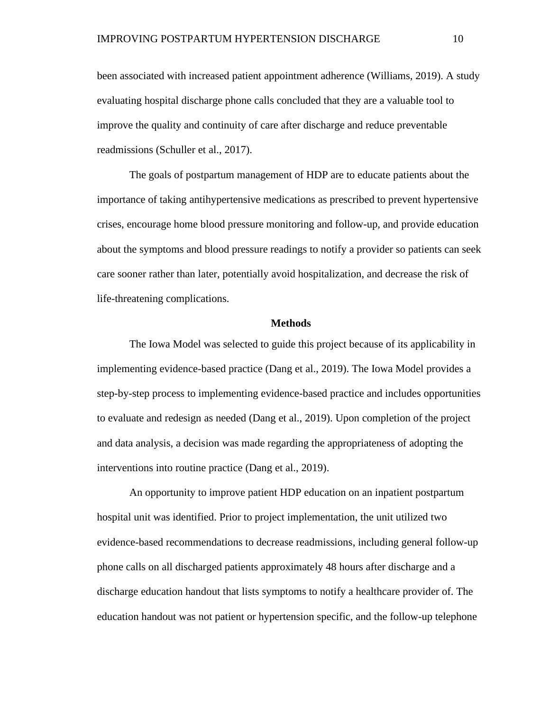been associated with increased patient appointment adherence (Williams, 2019). A study evaluating hospital discharge phone calls concluded that they are a valuable tool to improve the quality and continuity of care after discharge and reduce preventable readmissions (Schuller et al., 2017).

The goals of postpartum management of HDP are to educate patients about the importance of taking antihypertensive medications as prescribed to prevent hypertensive crises, encourage home blood pressure monitoring and follow-up, and provide education about the symptoms and blood pressure readings to notify a provider so patients can seek care sooner rather than later, potentially avoid hospitalization, and decrease the risk of life-threatening complications.

#### **Methods**

The Iowa Model was selected to guide this project because of its applicability in implementing evidence-based practice (Dang et al., 2019). The Iowa Model provides a step-by-step process to implementing evidence-based practice and includes opportunities to evaluate and redesign as needed (Dang et al., 2019). Upon completion of the project and data analysis, a decision was made regarding the appropriateness of adopting the interventions into routine practice (Dang et al., 2019).

An opportunity to improve patient HDP education on an inpatient postpartum hospital unit was identified. Prior to project implementation, the unit utilized two evidence-based recommendations to decrease readmissions, including general follow-up phone calls on all discharged patients approximately 48 hours after discharge and a discharge education handout that lists symptoms to notify a healthcare provider of. The education handout was not patient or hypertension specific, and the follow-up telephone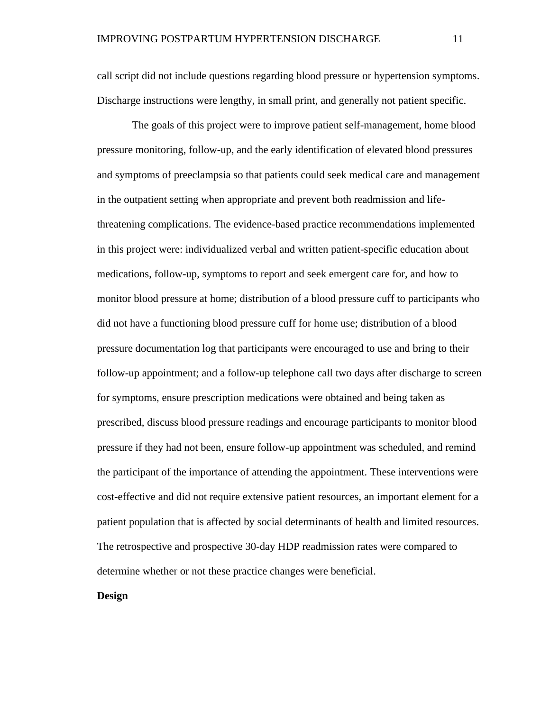call script did not include questions regarding blood pressure or hypertension symptoms. Discharge instructions were lengthy, in small print, and generally not patient specific.

The goals of this project were to improve patient self-management, home blood pressure monitoring, follow-up, and the early identification of elevated blood pressures and symptoms of preeclampsia so that patients could seek medical care and management in the outpatient setting when appropriate and prevent both readmission and lifethreatening complications. The evidence-based practice recommendations implemented in this project were: individualized verbal and written patient-specific education about medications, follow-up, symptoms to report and seek emergent care for, and how to monitor blood pressure at home; distribution of a blood pressure cuff to participants who did not have a functioning blood pressure cuff for home use; distribution of a blood pressure documentation log that participants were encouraged to use and bring to their follow-up appointment; and a follow-up telephone call two days after discharge to screen for symptoms, ensure prescription medications were obtained and being taken as prescribed, discuss blood pressure readings and encourage participants to monitor blood pressure if they had not been, ensure follow-up appointment was scheduled, and remind the participant of the importance of attending the appointment. These interventions were cost-effective and did not require extensive patient resources, an important element for a patient population that is affected by social determinants of health and limited resources. The retrospective and prospective 30-day HDP readmission rates were compared to determine whether or not these practice changes were beneficial.

#### **Design**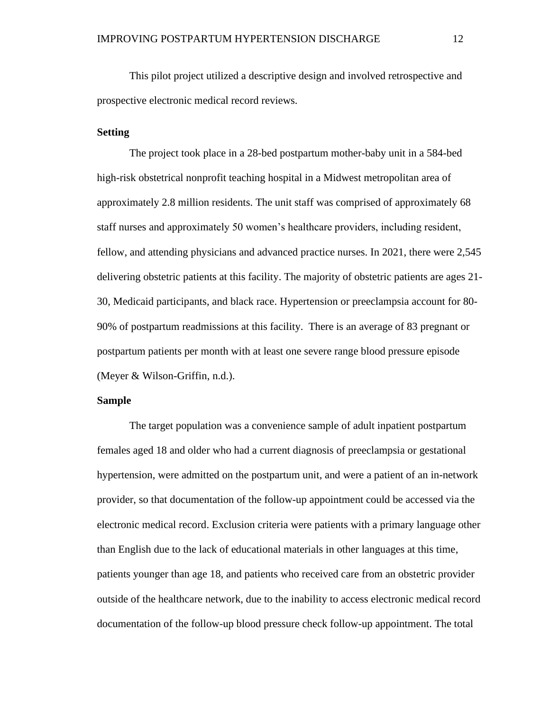This pilot project utilized a descriptive design and involved retrospective and prospective electronic medical record reviews.

#### **Setting**

The project took place in a 28-bed postpartum mother-baby unit in a 584-bed high-risk obstetrical nonprofit teaching hospital in a Midwest metropolitan area of approximately 2.8 million residents. The unit staff was comprised of approximately 68 staff nurses and approximately 50 women's healthcare providers, including resident, fellow, and attending physicians and advanced practice nurses. In 2021, there were 2,545 delivering obstetric patients at this facility. The majority of obstetric patients are ages 21- 30, Medicaid participants, and black race. Hypertension or preeclampsia account for 80- 90% of postpartum readmissions at this facility. There is an average of 83 pregnant or postpartum patients per month with at least one severe range blood pressure episode (Meyer & Wilson-Griffin, n.d.).

#### **Sample**

The target population was a convenience sample of adult inpatient postpartum females aged 18 and older who had a current diagnosis of preeclampsia or gestational hypertension, were admitted on the postpartum unit, and were a patient of an in-network provider, so that documentation of the follow-up appointment could be accessed via the electronic medical record. Exclusion criteria were patients with a primary language other than English due to the lack of educational materials in other languages at this time, patients younger than age 18, and patients who received care from an obstetric provider outside of the healthcare network, due to the inability to access electronic medical record documentation of the follow-up blood pressure check follow-up appointment. The total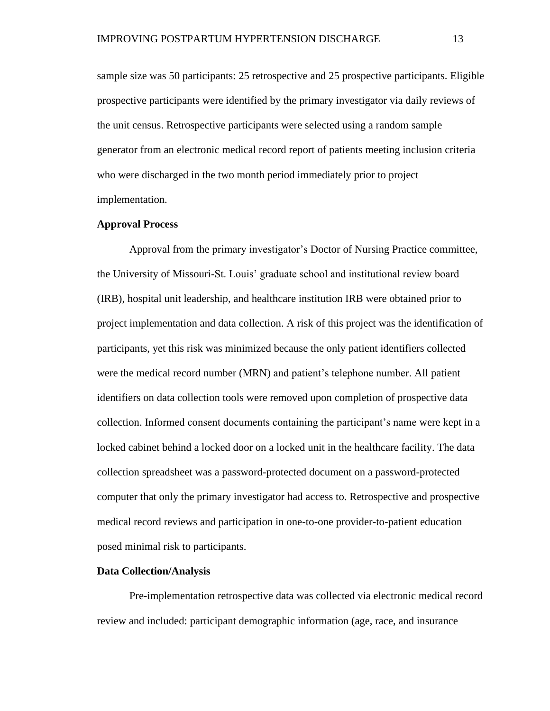sample size was 50 participants: 25 retrospective and 25 prospective participants. Eligible prospective participants were identified by the primary investigator via daily reviews of the unit census. Retrospective participants were selected using a random sample generator from an electronic medical record report of patients meeting inclusion criteria who were discharged in the two month period immediately prior to project implementation.

#### **Approval Process**

Approval from the primary investigator's Doctor of Nursing Practice committee, the University of Missouri-St. Louis' graduate school and institutional review board (IRB), hospital unit leadership, and healthcare institution IRB were obtained prior to project implementation and data collection. A risk of this project was the identification of participants, yet this risk was minimized because the only patient identifiers collected were the medical record number (MRN) and patient's telephone number. All patient identifiers on data collection tools were removed upon completion of prospective data collection. Informed consent documents containing the participant's name were kept in a locked cabinet behind a locked door on a locked unit in the healthcare facility. The data collection spreadsheet was a password-protected document on a password-protected computer that only the primary investigator had access to. Retrospective and prospective medical record reviews and participation in one-to-one provider-to-patient education posed minimal risk to participants.

#### **Data Collection/Analysis**

Pre-implementation retrospective data was collected via electronic medical record review and included: participant demographic information (age, race, and insurance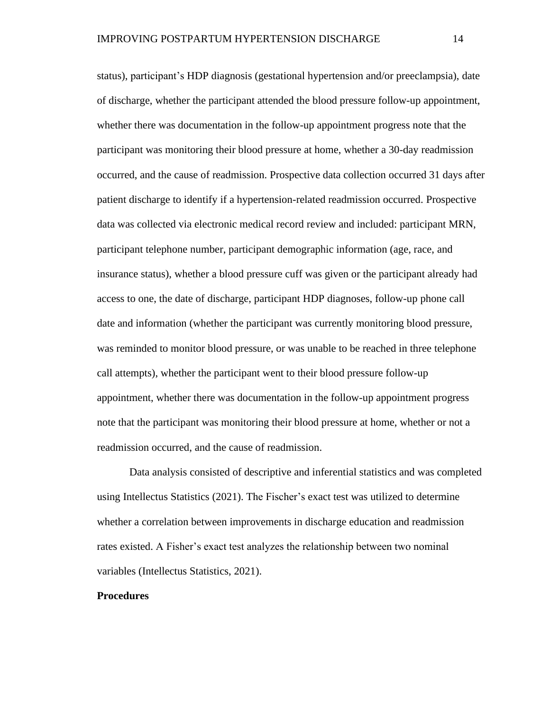status), participant's HDP diagnosis (gestational hypertension and/or preeclampsia), date of discharge, whether the participant attended the blood pressure follow-up appointment, whether there was documentation in the follow-up appointment progress note that the participant was monitoring their blood pressure at home, whether a 30-day readmission occurred, and the cause of readmission. Prospective data collection occurred 31 days after patient discharge to identify if a hypertension-related readmission occurred. Prospective data was collected via electronic medical record review and included: participant MRN, participant telephone number, participant demographic information (age, race, and insurance status), whether a blood pressure cuff was given or the participant already had access to one, the date of discharge, participant HDP diagnoses, follow-up phone call date and information (whether the participant was currently monitoring blood pressure, was reminded to monitor blood pressure, or was unable to be reached in three telephone call attempts), whether the participant went to their blood pressure follow-up appointment, whether there was documentation in the follow-up appointment progress note that the participant was monitoring their blood pressure at home, whether or not a readmission occurred, and the cause of readmission.

Data analysis consisted of descriptive and inferential statistics and was completed using Intellectus Statistics (2021). The Fischer's exact test was utilized to determine whether a correlation between improvements in discharge education and readmission rates existed. A Fisher's exact test analyzes the relationship between two nominal variables (Intellectus Statistics, 2021).

#### **Procedures**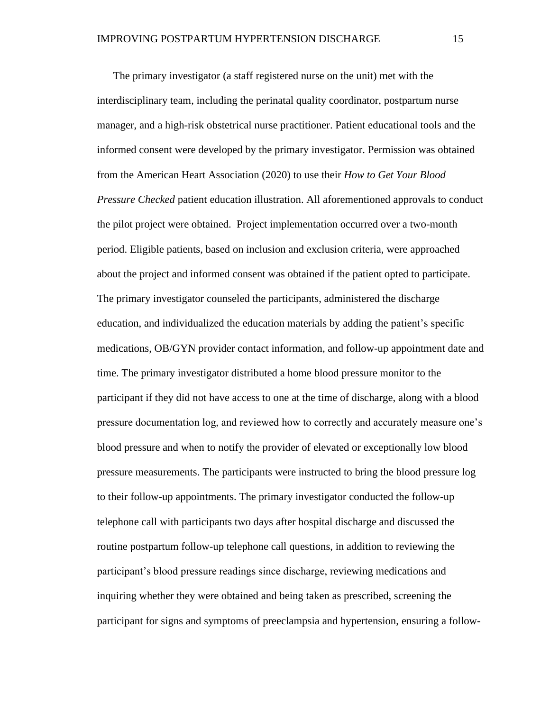The primary investigator (a staff registered nurse on the unit) met with the interdisciplinary team, including the perinatal quality coordinator, postpartum nurse manager, and a high-risk obstetrical nurse practitioner. Patient educational tools and the informed consent were developed by the primary investigator. Permission was obtained from the American Heart Association (2020) to use their *How to Get Your Blood Pressure Checked* patient education illustration. All aforementioned approvals to conduct the pilot project were obtained. Project implementation occurred over a two-month period. Eligible patients, based on inclusion and exclusion criteria, were approached about the project and informed consent was obtained if the patient opted to participate. The primary investigator counseled the participants, administered the discharge education, and individualized the education materials by adding the patient's specific medications, OB/GYN provider contact information, and follow-up appointment date and time. The primary investigator distributed a home blood pressure monitor to the participant if they did not have access to one at the time of discharge, along with a blood pressure documentation log, and reviewed how to correctly and accurately measure one's blood pressure and when to notify the provider of elevated or exceptionally low blood pressure measurements. The participants were instructed to bring the blood pressure log to their follow-up appointments. The primary investigator conducted the follow-up telephone call with participants two days after hospital discharge and discussed the routine postpartum follow-up telephone call questions, in addition to reviewing the participant's blood pressure readings since discharge, reviewing medications and inquiring whether they were obtained and being taken as prescribed, screening the participant for signs and symptoms of preeclampsia and hypertension, ensuring a follow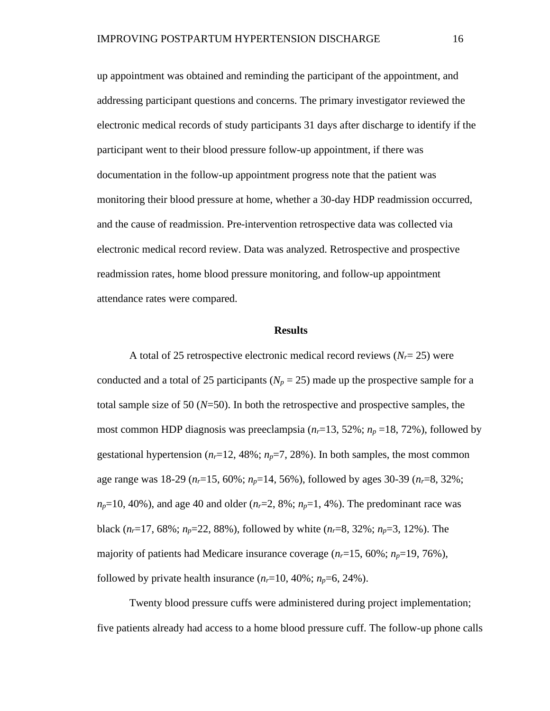up appointment was obtained and reminding the participant of the appointment, and addressing participant questions and concerns. The primary investigator reviewed the electronic medical records of study participants 31 days after discharge to identify if the participant went to their blood pressure follow-up appointment, if there was documentation in the follow-up appointment progress note that the patient was monitoring their blood pressure at home, whether a 30-day HDP readmission occurred, and the cause of readmission. Pre-intervention retrospective data was collected via electronic medical record review. Data was analyzed. Retrospective and prospective readmission rates, home blood pressure monitoring, and follow-up appointment attendance rates were compared.

#### **Results**

A total of 25 retrospective electronic medical record reviews  $(N_r = 25)$  were conducted and a total of 25 participants ( $N_p = 25$ ) made up the prospective sample for a total sample size of 50 (*N*=50). In both the retrospective and prospective samples, the most common HDP diagnosis was preeclampsia  $(n_r=13, 52\%; n_p=18, 72\%)$ , followed by gestational hypertension  $(n_r=12, 48\%; n_p=7, 28\%)$ . In both samples, the most common age range was 18-29 (*nr*=15, 60%; *np*=14, 56%), followed by ages 30-39 (*nr*=8, 32%;  $n_p$ =10, 40%), and age 40 and older ( $n_r$ =2, 8%;  $n_p$ =1, 4%). The predominant race was black  $(n_r=17, 68\%; n_p=22, 88\%)$ , followed by white  $(n_r=8, 32\%; n_p=3, 12\%)$ . The majority of patients had Medicare insurance coverage  $(n_r=15, 60\%; n_p=19, 76\%)$ , followed by private health insurance  $(n_r=10, 40\%; n_p=6, 24\%)$ .

Twenty blood pressure cuffs were administered during project implementation; five patients already had access to a home blood pressure cuff. The follow-up phone calls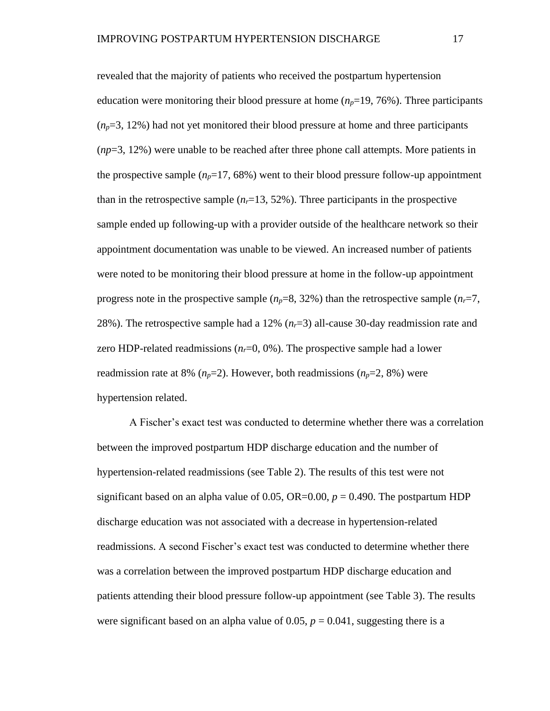revealed that the majority of patients who received the postpartum hypertension education were monitoring their blood pressure at home  $(n_p=19, 76\%)$ . Three participants  $(n_p=3, 12\%)$  had not yet monitored their blood pressure at home and three participants (*np*=3, 12%) were unable to be reached after three phone call attempts. More patients in the prospective sample  $(n_p=17, 68\%)$  went to their blood pressure follow-up appointment than in the retrospective sample  $(n_r=13, 52\%)$ . Three participants in the prospective sample ended up following-up with a provider outside of the healthcare network so their appointment documentation was unable to be viewed. An increased number of patients were noted to be monitoring their blood pressure at home in the follow-up appointment progress note in the prospective sample  $(n_p=8, 32\%)$  than the retrospective sample  $(n_r=7, 12\%)$ 28%). The retrospective sample had a 12%  $(n<sub>r</sub>=3)$  all-cause 30-day readmission rate and zero HDP-related readmissions  $(n_r=0, 0\%)$ . The prospective sample had a lower readmission rate at 8%  $(n_p=2)$ . However, both readmissions  $(n_p=2, 8\%)$  were hypertension related.

A Fischer's exact test was conducted to determine whether there was a correlation between the improved postpartum HDP discharge education and the number of hypertension-related readmissions (see Table 2). The results of this test were not significant based on an alpha value of 0.05, OR=0.00,  $p = 0.490$ . The postpartum HDP discharge education was not associated with a decrease in hypertension-related readmissions. A second Fischer's exact test was conducted to determine whether there was a correlation between the improved postpartum HDP discharge education and patients attending their blood pressure follow-up appointment (see Table 3). The results were significant based on an alpha value of 0.05,  $p = 0.041$ , suggesting there is a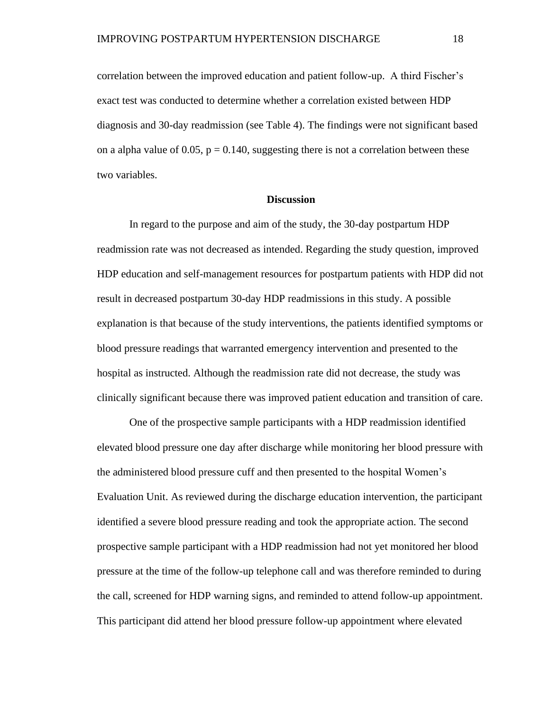correlation between the improved education and patient follow-up. A third Fischer's exact test was conducted to determine whether a correlation existed between HDP diagnosis and 30-day readmission (see Table 4). The findings were not significant based on a alpha value of 0.05,  $p = 0.140$ , suggesting there is not a correlation between these two variables.

#### **Discussion**

In regard to the purpose and aim of the study, the 30-day postpartum HDP readmission rate was not decreased as intended. Regarding the study question, improved HDP education and self-management resources for postpartum patients with HDP did not result in decreased postpartum 30-day HDP readmissions in this study. A possible explanation is that because of the study interventions, the patients identified symptoms or blood pressure readings that warranted emergency intervention and presented to the hospital as instructed. Although the readmission rate did not decrease, the study was clinically significant because there was improved patient education and transition of care.

One of the prospective sample participants with a HDP readmission identified elevated blood pressure one day after discharge while monitoring her blood pressure with the administered blood pressure cuff and then presented to the hospital Women's Evaluation Unit. As reviewed during the discharge education intervention, the participant identified a severe blood pressure reading and took the appropriate action. The second prospective sample participant with a HDP readmission had not yet monitored her blood pressure at the time of the follow-up telephone call and was therefore reminded to during the call, screened for HDP warning signs, and reminded to attend follow-up appointment. This participant did attend her blood pressure follow-up appointment where elevated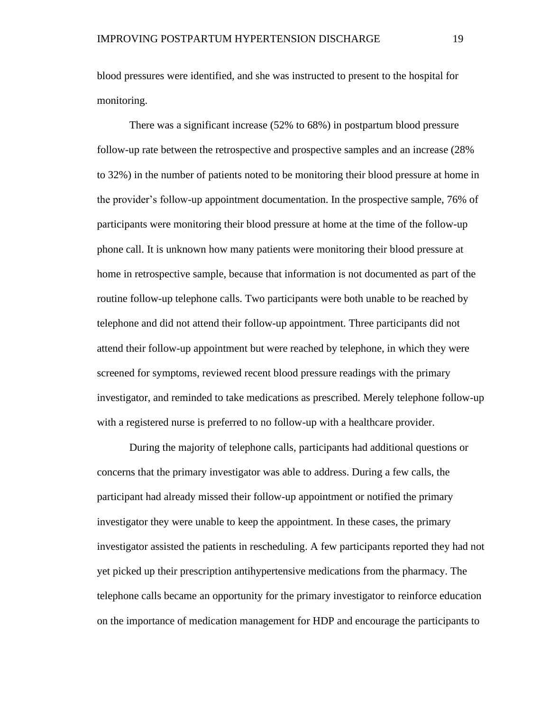blood pressures were identified, and she was instructed to present to the hospital for monitoring.

There was a significant increase (52% to 68%) in postpartum blood pressure follow-up rate between the retrospective and prospective samples and an increase (28% to 32%) in the number of patients noted to be monitoring their blood pressure at home in the provider's follow-up appointment documentation. In the prospective sample, 76% of participants were monitoring their blood pressure at home at the time of the follow-up phone call. It is unknown how many patients were monitoring their blood pressure at home in retrospective sample, because that information is not documented as part of the routine follow-up telephone calls. Two participants were both unable to be reached by telephone and did not attend their follow-up appointment. Three participants did not attend their follow-up appointment but were reached by telephone, in which they were screened for symptoms, reviewed recent blood pressure readings with the primary investigator, and reminded to take medications as prescribed. Merely telephone follow-up with a registered nurse is preferred to no follow-up with a healthcare provider.

During the majority of telephone calls, participants had additional questions or concerns that the primary investigator was able to address. During a few calls, the participant had already missed their follow-up appointment or notified the primary investigator they were unable to keep the appointment. In these cases, the primary investigator assisted the patients in rescheduling. A few participants reported they had not yet picked up their prescription antihypertensive medications from the pharmacy. The telephone calls became an opportunity for the primary investigator to reinforce education on the importance of medication management for HDP and encourage the participants to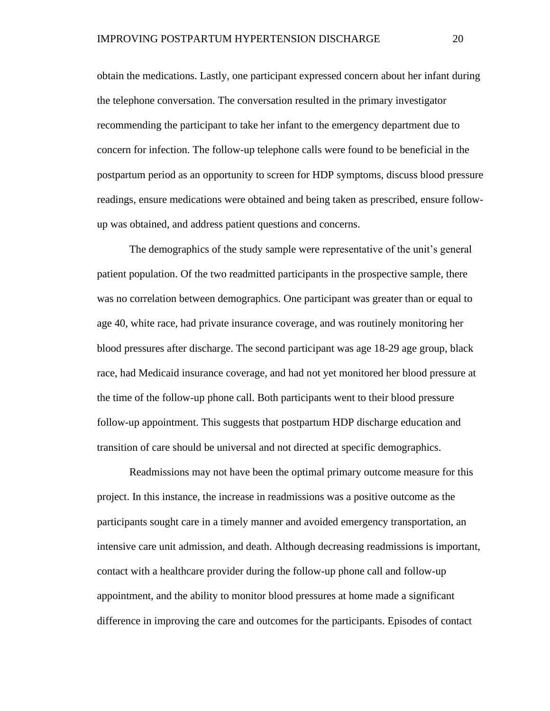obtain the medications. Lastly, one participant expressed concern about her infant during the telephone conversation. The conversation resulted in the primary investigator recommending the participant to take her infant to the emergency department due to concern for infection. The follow-up telephone calls were found to be beneficial in the postpartum period as an opportunity to screen for HDP symptoms, discuss blood pressure readings, ensure medications were obtained and being taken as prescribed, ensure followup was obtained, and address patient questions and concerns.

The demographics of the study sample were representative of the unit's general patient population. Of the two readmitted participants in the prospective sample, there was no correlation between demographics. One participant was greater than or equal to age 40, white race, had private insurance coverage, and was routinely monitoring her blood pressures after discharge. The second participant was age 18-29 age group, black race, had Medicaid insurance coverage, and had not yet monitored her blood pressure at the time of the follow-up phone call. Both participants went to their blood pressure follow-up appointment. This suggests that postpartum HDP discharge education and transition of care should be universal and not directed at specific demographics.

Readmissions may not have been the optimal primary outcome measure for this project. In this instance, the increase in readmissions was a positive outcome as the participants sought care in a timely manner and avoided emergency transportation, an intensive care unit admission, and death. Although decreasing readmissions is important, contact with a healthcare provider during the follow-up phone call and follow-up appointment, and the ability to monitor blood pressures at home made a significant difference in improving the care and outcomes for the participants. Episodes of contact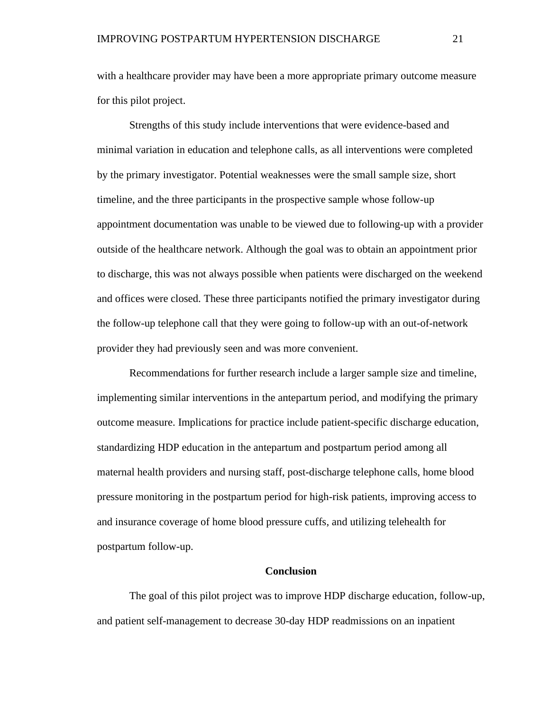with a healthcare provider may have been a more appropriate primary outcome measure for this pilot project.

Strengths of this study include interventions that were evidence-based and minimal variation in education and telephone calls, as all interventions were completed by the primary investigator. Potential weaknesses were the small sample size, short timeline, and the three participants in the prospective sample whose follow-up appointment documentation was unable to be viewed due to following-up with a provider outside of the healthcare network. Although the goal was to obtain an appointment prior to discharge, this was not always possible when patients were discharged on the weekend and offices were closed. These three participants notified the primary investigator during the follow-up telephone call that they were going to follow-up with an out-of-network provider they had previously seen and was more convenient.

Recommendations for further research include a larger sample size and timeline, implementing similar interventions in the antepartum period, and modifying the primary outcome measure. Implications for practice include patient-specific discharge education, standardizing HDP education in the antepartum and postpartum period among all maternal health providers and nursing staff, post-discharge telephone calls, home blood pressure monitoring in the postpartum period for high-risk patients, improving access to and insurance coverage of home blood pressure cuffs, and utilizing telehealth for postpartum follow-up.

#### **Conclusion**

The goal of this pilot project was to improve HDP discharge education, follow-up, and patient self-management to decrease 30-day HDP readmissions on an inpatient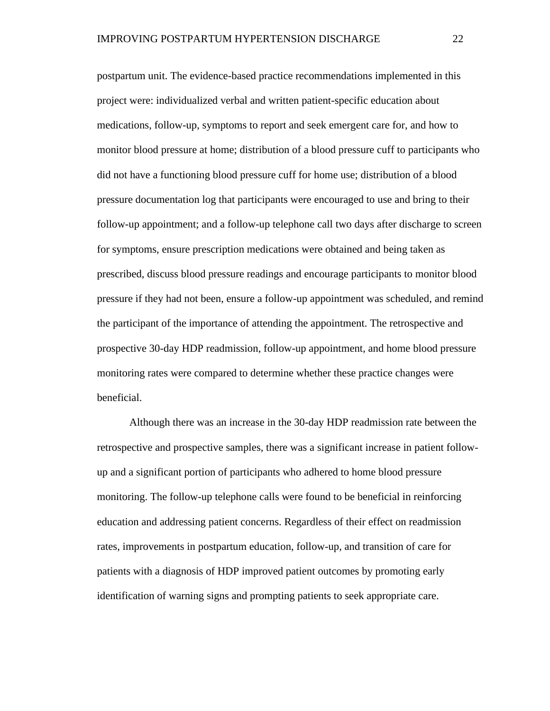postpartum unit. The evidence-based practice recommendations implemented in this project were: individualized verbal and written patient-specific education about medications, follow-up, symptoms to report and seek emergent care for, and how to monitor blood pressure at home; distribution of a blood pressure cuff to participants who did not have a functioning blood pressure cuff for home use; distribution of a blood pressure documentation log that participants were encouraged to use and bring to their follow-up appointment; and a follow-up telephone call two days after discharge to screen for symptoms, ensure prescription medications were obtained and being taken as prescribed, discuss blood pressure readings and encourage participants to monitor blood pressure if they had not been, ensure a follow-up appointment was scheduled, and remind the participant of the importance of attending the appointment. The retrospective and prospective 30-day HDP readmission, follow-up appointment, and home blood pressure monitoring rates were compared to determine whether these practice changes were beneficial.

Although there was an increase in the 30-day HDP readmission rate between the retrospective and prospective samples, there was a significant increase in patient followup and a significant portion of participants who adhered to home blood pressure monitoring. The follow-up telephone calls were found to be beneficial in reinforcing education and addressing patient concerns. Regardless of their effect on readmission rates, improvements in postpartum education, follow-up, and transition of care for patients with a diagnosis of HDP improved patient outcomes by promoting early identification of warning signs and prompting patients to seek appropriate care.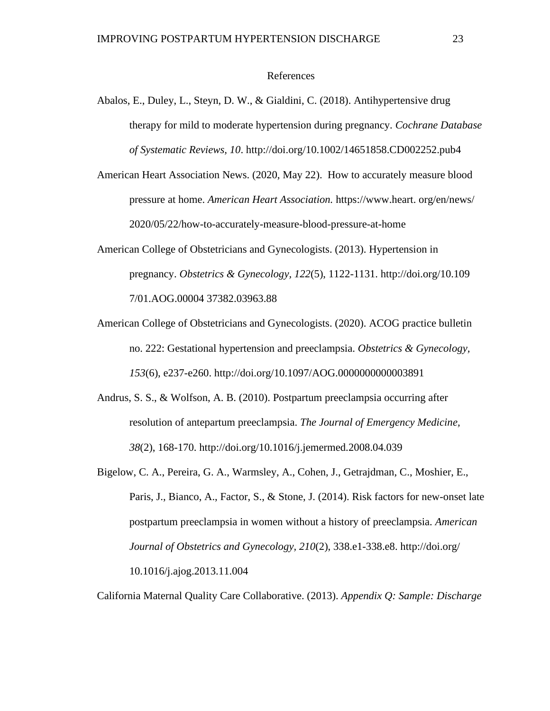#### References

- Abalos, E., Duley, L., Steyn, D. W., & Gialdini, C. (2018). Antihypertensive drug therapy for mild to moderate hypertension during pregnancy. *Cochrane Database of Systematic Reviews, 10*. http://doi.org/10.1002/14651858.CD002252.pub4
- American Heart Association News. (2020, May 22). How to accurately measure blood pressure at home. *American Heart Association.* https://www.heart. org/en/news/ 2020/05/22/how-to-accurately-measure-blood-pressure-at-home
- American College of Obstetricians and Gynecologists. (2013). Hypertension in pregnancy. *Obstetrics & Gynecology, 122*(5), 1122-1131. http://doi.org/10.109 7/01.AOG.00004 37382.03963.88
- American College of Obstetricians and Gynecologists. (2020). ACOG practice bulletin no. 222: Gestational hypertension and preeclampsia. *Obstetrics & Gynecology, 153*(6), e237-e260. http://doi.org/10.1097/AOG.0000000000003891
- Andrus, S. S., & Wolfson, A. B. (2010). Postpartum preeclampsia occurring after resolution of antepartum preeclampsia. *The Journal of Emergency Medicine, 38*(2), 168-170. http://doi.org/10.1016/j.jemermed.2008.04.039
- Bigelow, C. A., Pereira, G. A., Warmsley, A., Cohen, J., Getrajdman, C., Moshier, E., Paris, J., Bianco, A., Factor, S., & Stone, J. (2014). Risk factors for new-onset late postpartum preeclampsia in women without a history of preeclampsia. *American Journal of Obstetrics and Gynecology, 210*(2), 338.e1-338.e8. http://doi.org/ 10.1016/j.ajog.2013.11.004

California Maternal Quality Care Collaborative. (2013). *Appendix Q: Sample: Discharge*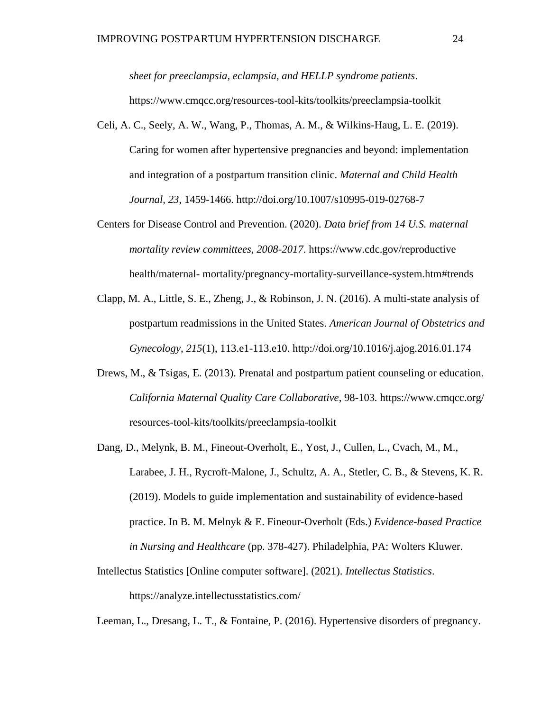*sheet for preeclampsia, eclampsia, and HELLP syndrome patients*. https://www.cmqcc.org/resources-tool-kits/toolkits/preeclampsia-toolkit

- Celi, A. C., Seely, A. W., Wang, P., Thomas, A. M., & Wilkins-Haug, L. E. (2019). Caring for women after hypertensive pregnancies and beyond: implementation and integration of a postpartum transition clinic. *Maternal and Child Health Journal, 23*, 1459-1466. http://doi.org/10.1007/s10995-019-02768-7
- Centers for Disease Control and Prevention. (2020). *Data brief from 14 U.S. maternal mortality review committees, 2008-2017*. https://www.cdc.gov/reproductive health/maternal- mortality/pregnancy-mortality-surveillance-system.htm#trends
- Clapp, M. A., Little, S. E., Zheng, J., & Robinson, J. N. (2016). A multi-state analysis of postpartum readmissions in the United States. *American Journal of Obstetrics and Gynecology, 215*(1), 113.e1-113.e10. http://doi.org/10.1016/j.ajog.2016.01.174
- Drews, M., & Tsigas, E. (2013). Prenatal and postpartum patient counseling or education. *California Maternal Quality Care Collaborative*, 98-103*.* https://www.cmqcc.org/ resources-tool-kits/toolkits/preeclampsia-toolkit
- Dang, D., Melynk, B. M., Fineout-Overholt, E., Yost, J., Cullen, L., Cvach, M., M., Larabee, J. H., Rycroft-Malone, J., Schultz, A. A., Stetler, C. B., & Stevens, K. R. (2019). Models to guide implementation and sustainability of evidence-based practice. In B. M. Melnyk & E. Fineour-Overholt (Eds.) *Evidence-based Practice in Nursing and Healthcare* (pp. 378-427). Philadelphia, PA: Wolters Kluwer.
- Intellectus Statistics [Online computer software]. (2021). *Intellectus Statistics*. https://analyze.intellectusstatistics.com/
- Leeman, L., Dresang, L. T., & Fontaine, P. (2016). Hypertensive disorders of pregnancy.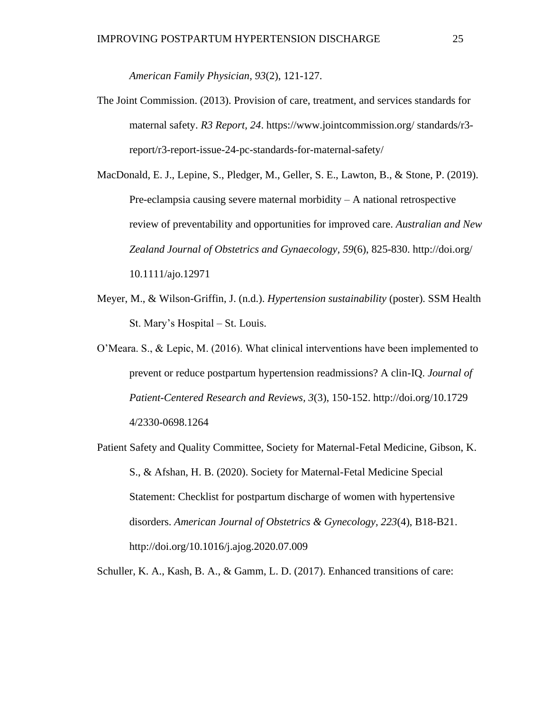*American Family Physician, 93*(2), 121-127.

The Joint Commission. (2013). Provision of care, treatment, and services standards for maternal safety. *R3 Report, 24*. https://www.jointcommission.org/ standards/r3 report/r3-report-issue-24-pc-standards-for-maternal-safety/

MacDonald, E. J., Lepine, S., Pledger, M., Geller, S. E., Lawton, B., & Stone, P. (2019). Pre-eclampsia causing severe maternal morbidity – A national retrospective review of preventability and opportunities for improved care. *Australian and New Zealand Journal of Obstetrics and Gynaecology, 59*(6), 825-830. http://doi.org/ 10.1111/ajo.12971

- Meyer, M., & Wilson-Griffin, J. (n.d.). *Hypertension sustainability* (poster). SSM Health St. Mary's Hospital – St. Louis.
- O'Meara. S., & Lepic, M. (2016). What clinical interventions have been implemented to prevent or reduce postpartum hypertension readmissions? A clin-IQ. *Journal of Patient-Centered Research and Reviews, 3*(3), 150-152. http://doi.org/10.1729 4/2330-0698.1264
- Patient Safety and Quality Committee, Society for Maternal-Fetal Medicine, Gibson, K. S., & Afshan, H. B. (2020). Society for Maternal-Fetal Medicine Special Statement: Checklist for postpartum discharge of women with hypertensive disorders. *American Journal of Obstetrics & Gynecology, 223*(4), B18-B21. http://doi.org/10.1016/j.ajog.2020.07.009

Schuller, K. A., Kash, B. A., & Gamm, L. D. (2017). Enhanced transitions of care: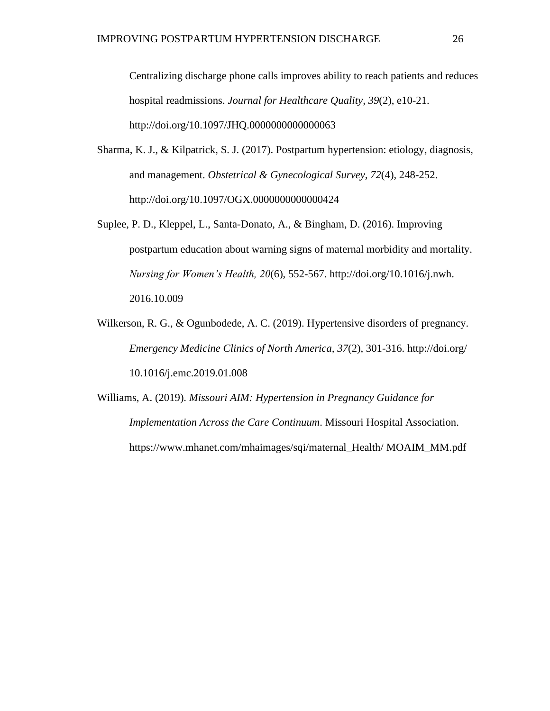Centralizing discharge phone calls improves ability to reach patients and reduces hospital readmissions. *Journal for Healthcare Quality, 39*(2), e10-21. http://doi.org/10.1097/JHQ.0000000000000063

- Sharma, K. J., & Kilpatrick, S. J. (2017). Postpartum hypertension: etiology, diagnosis, and management. *Obstetrical & Gynecological Survey, 72*(4), 248-252. http://doi.org/10.1097/OGX.0000000000000424
- Suplee, P. D., Kleppel, L., Santa-Donato, A., & Bingham, D. (2016). Improving postpartum education about warning signs of maternal morbidity and mortality. *Nursing for Women's Health, 20*(6), 552-567. http://doi.org/10.1016/j.nwh. 2016.10.009
- Wilkerson, R. G., & Ogunbodede, A. C. (2019). Hypertensive disorders of pregnancy. *Emergency Medicine Clinics of North America, 37*(2), 301-316. http://doi.org/ 10.1016/j.emc.2019.01.008

Williams, A. (2019). *Missouri AIM: Hypertension in Pregnancy Guidance for Implementation Across the Care Continuum*. Missouri Hospital Association. https://www.mhanet.com/mhaimages/sqi/maternal\_Health/ MOAIM\_MM.pdf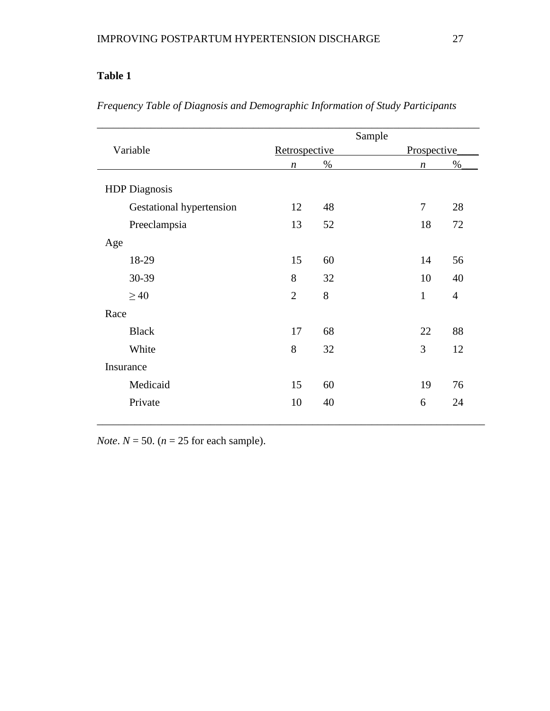|                          | Sample           |      |                  |                |  |
|--------------------------|------------------|------|------------------|----------------|--|
| Variable                 | Retrospective    |      |                  | Prospective    |  |
|                          | $\boldsymbol{n}$ | $\%$ | $\boldsymbol{n}$ | $\%$           |  |
| <b>HDP</b> Diagnosis     |                  |      |                  |                |  |
| Gestational hypertension | 12               | 48   | $\tau$           | 28             |  |
| Preeclampsia             | 13               | 52   | 18               | 72             |  |
| Age                      |                  |      |                  |                |  |
| 18-29                    | 15               | 60   | 14               | 56             |  |
| 30-39                    | 8                | 32   | 10               | 40             |  |
| $\geq 40$                | $\overline{2}$   | 8    | $\mathbf{1}$     | $\overline{4}$ |  |
| Race                     |                  |      |                  |                |  |
| <b>Black</b>             | 17               | 68   | 22               | 88             |  |
| White                    | 8                | 32   | 3                | 12             |  |
| Insurance                |                  |      |                  |                |  |
| Medicaid                 | 15               | 60   | 19               | 76             |  |
| Private                  | 10               | 40   | 6                | 24             |  |

*Frequency Table of Diagnosis and Demographic Information of Study Participants*

*Note*.  $N = 50$ . ( $n = 25$  for each sample).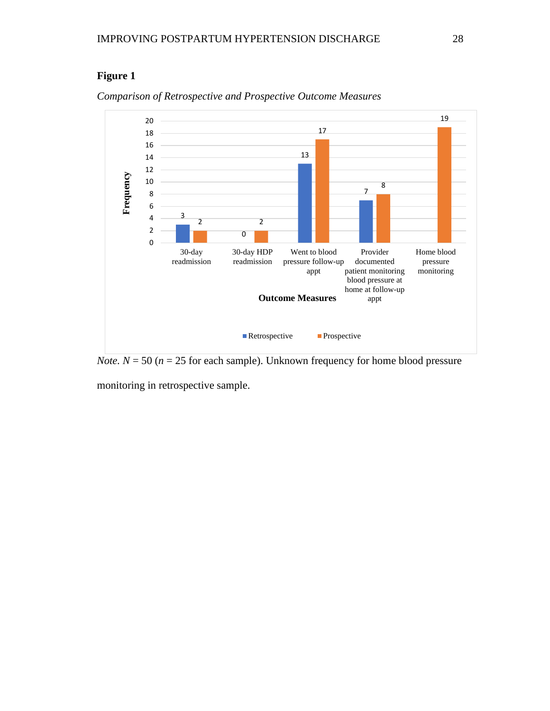### **Figure 1**



#### *Comparison of Retrospective and Prospective Outcome Measures*

*Note.*  $N = 50$  ( $n = 25$  for each sample). Unknown frequency for home blood pressure

monitoring in retrospective sample.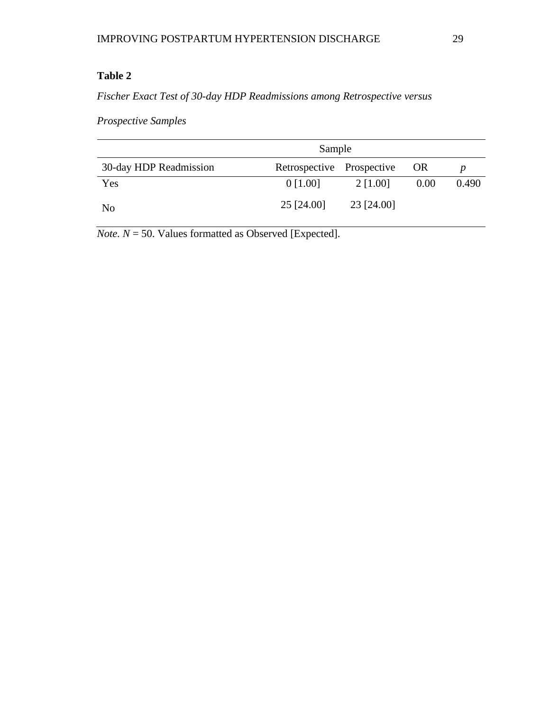*Fischer Exact Test of 30-day HDP Readmissions among Retrospective versus* 

*Prospective Samples*

|                        | Sample                    |            |           |       |  |
|------------------------|---------------------------|------------|-----------|-------|--|
| 30-day HDP Readmission | Retrospective Prospective |            | <b>OR</b> |       |  |
| Yes                    | $0$ [1.00]                | 2 [1.00]   | 0.00      | 0.490 |  |
| N <sub>0</sub>         | 25 [24.00]                | 23 [24.00] |           |       |  |

*Note.*  $N = 50$ . Values formatted as Observed [Expected].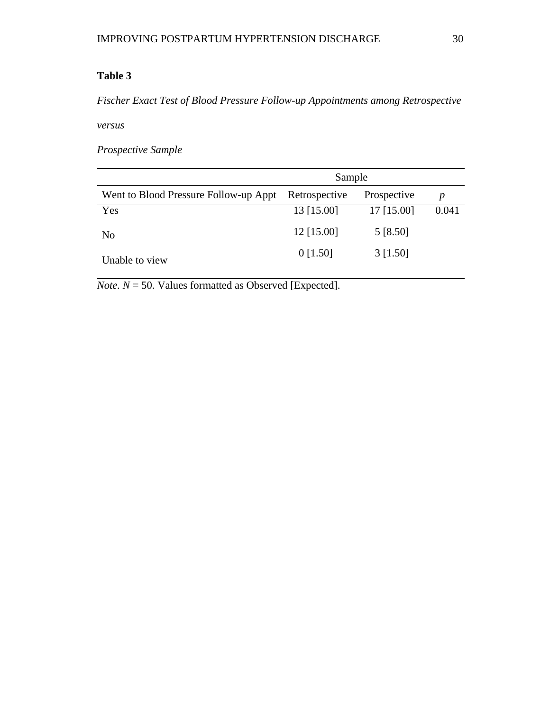*Fischer Exact Test of Blood Pressure Follow-up Appointments among Retrospective* 

*versus* 

*Prospective Sample*

|                                       | Sample        |              |                  |  |
|---------------------------------------|---------------|--------------|------------------|--|
| Went to Blood Pressure Follow-up Appt | Retrospective | Prospective  | $\boldsymbol{p}$ |  |
| Yes                                   | 13 [15.00]    | $17$ [15.00] | 0.041            |  |
| No                                    | 12 [15.00]    | 5 [8.50]     |                  |  |
| Unable to view                        | $0$ [1.50]    | $3$ [1.50]   |                  |  |

 $$